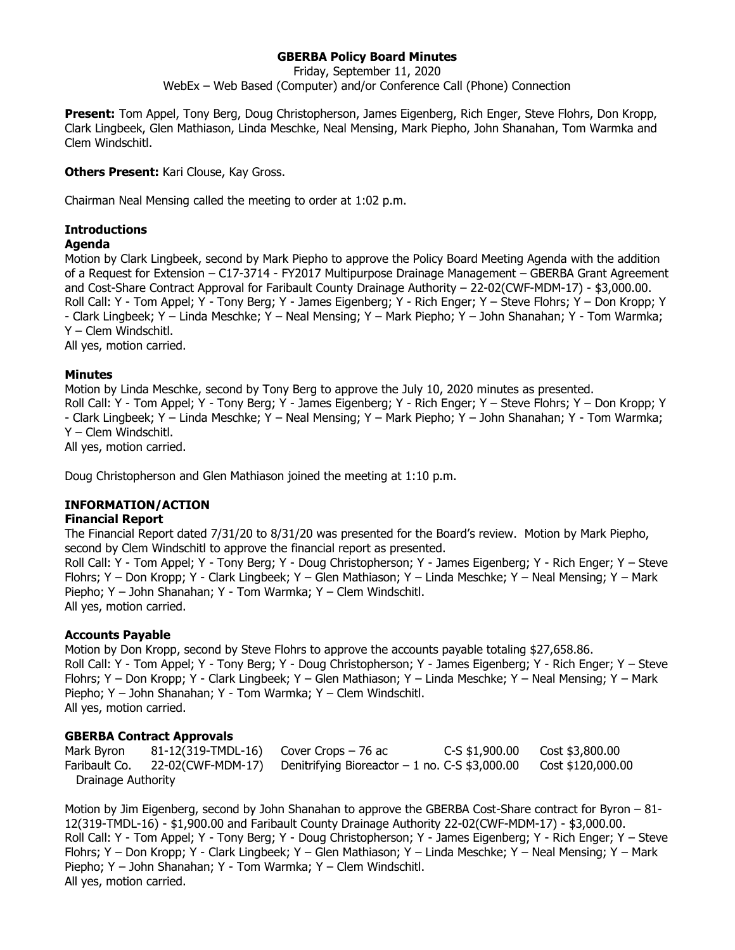# **GBERBA Policy Board Minutes**

Friday, September 11, 2020

WebEx – Web Based (Computer) and/or Conference Call (Phone) Connection

**Present:** Tom Appel, Tony Berg, Doug Christopherson, James Eigenberg, Rich Enger, Steve Flohrs, Don Kropp, Clark Lingbeek, Glen Mathiason, Linda Meschke, Neal Mensing, Mark Piepho, John Shanahan, Tom Warmka and Clem Windschitl.

**Others Present: Kari Clouse, Kay Gross.** 

Chairman Neal Mensing called the meeting to order at 1:02 p.m.

# **Introductions**

## **Agenda**

Motion by Clark Lingbeek, second by Mark Piepho to approve the Policy Board Meeting Agenda with the addition of a Request for Extension – C17-3714 - FY2017 Multipurpose Drainage Management – GBERBA Grant Agreement and Cost-Share Contract Approval for Faribault County Drainage Authority – 22-02(CWF-MDM-17) - \$3,000.00. Roll Call: Y - Tom Appel; Y - Tony Berg; Y - James Eigenberg; Y - Rich Enger; Y – Steve Flohrs; Y – Don Kropp; Y - Clark Lingbeek; Y – Linda Meschke; Y – Neal Mensing; Y – Mark Piepho; Y – John Shanahan; Y - Tom Warmka; Y – Clem Windschitl.

All yes, motion carried.

# **Minutes**

Motion by Linda Meschke, second by Tony Berg to approve the July 10, 2020 minutes as presented. Roll Call: Y - Tom Appel; Y - Tony Berg; Y - James Eigenberg; Y - Rich Enger; Y – Steve Flohrs; Y – Don Kropp; Y - Clark Lingbeek; Y – Linda Meschke; Y – Neal Mensing; Y – Mark Piepho; Y – John Shanahan; Y - Tom Warmka; Y – Clem Windschitl. All yes, motion carried.

Doug Christopherson and Glen Mathiason joined the meeting at 1:10 p.m.

# **INFORMATION/ACTION**

## **Financial Report**

The Financial Report dated 7/31/20 to 8/31/20 was presented for the Board's review. Motion by Mark Piepho, second by Clem Windschitl to approve the financial report as presented.

Roll Call: Y - Tom Appel; Y - Tony Berg; Y - Doug Christopherson; Y - James Eigenberg; Y - Rich Enger; Y – Steve Flohrs; Y – Don Kropp; Y - Clark Lingbeek; Y – Glen Mathiason; Y – Linda Meschke; Y – Neal Mensing; Y – Mark Piepho; Y – John Shanahan; Y - Tom Warmka; Y – Clem Windschitl. All yes, motion carried.

## **Accounts Payable**

Motion by Don Kropp, second by Steve Flohrs to approve the accounts payable totaling \$27,658.86. Roll Call: Y - Tom Appel; Y - Tony Berg; Y - Doug Christopherson; Y - James Eigenberg; Y - Rich Enger; Y – Steve Flohrs; Y – Don Kropp; Y - Clark Lingbeek; Y – Glen Mathiason; Y – Linda Meschke; Y – Neal Mensing; Y – Mark Piepho; Y – John Shanahan; Y - Tom Warmka; Y – Clem Windschitl. All yes, motion carried.

## **GBERBA Contract Approvals**

Mark Byron 81-12(319-TMDL-16) Cover Crops – 76 ac C-S \$1,900.00 Cost \$3,800.00 Faribault Co. 22-02(CWF-MDM-17) Denitrifying Bioreactor – 1 no. C-S \$3,000.00 Cost \$120,000.00 Drainage Authority

Motion by Jim Eigenberg, second by John Shanahan to approve the GBERBA Cost-Share contract for Byron – 81- 12(319-TMDL-16) - \$1,900.00 and Faribault County Drainage Authority 22-02(CWF-MDM-17) - \$3,000.00. Roll Call: Y - Tom Appel; Y - Tony Berg; Y - Doug Christopherson; Y - James Eigenberg; Y - Rich Enger; Y – Steve Flohrs; Y – Don Kropp; Y - Clark Lingbeek; Y – Glen Mathiason; Y – Linda Meschke; Y – Neal Mensing; Y – Mark Piepho; Y – John Shanahan; Y - Tom Warmka; Y – Clem Windschitl. All yes, motion carried.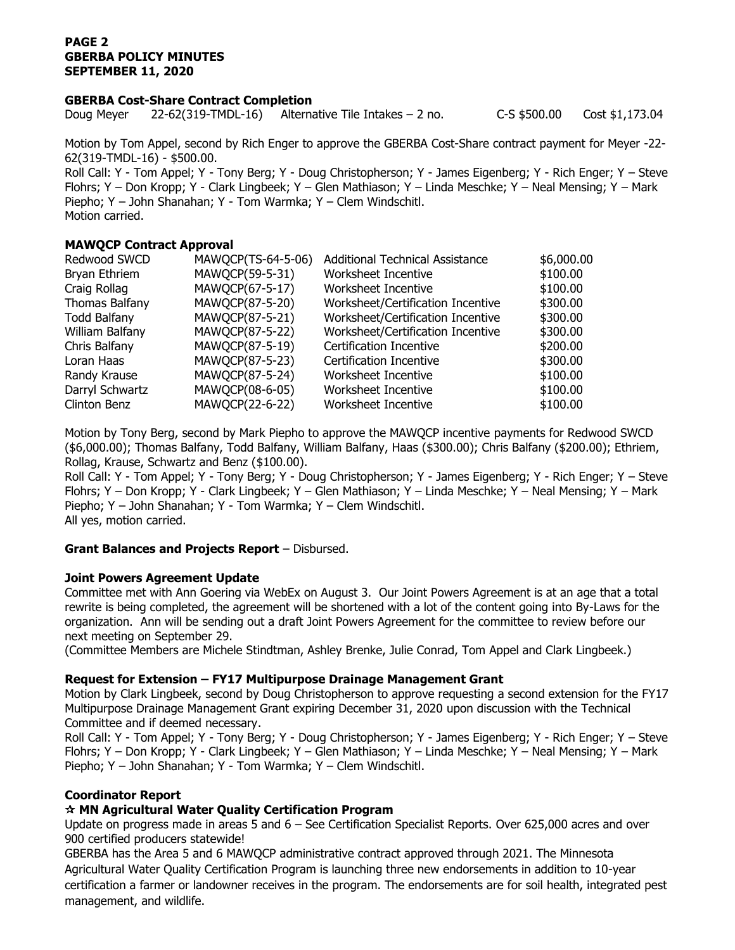# **PAGE 2 GBERBA POLICY MINUTES SEPTEMBER 11, 2020**

#### **GBERBA Cost-Share Contract Completion**

Doug Meyer 22-62(319-TMDL-16) Alternative Tile Intakes – 2 no. C-S \$500.00 Cost \$1,173.04

Motion by Tom Appel, second by Rich Enger to approve the GBERBA Cost-Share contract payment for Meyer -22- 62(319-TMDL-16) - \$500.00.

Roll Call: Y - Tom Appel; Y - Tony Berg; Y - Doug Christopherson; Y - James Eigenberg; Y - Rich Enger; Y – Steve Flohrs; Y – Don Kropp; Y - Clark Lingbeek; Y – Glen Mathiason; Y – Linda Meschke; Y – Neal Mensing; Y – Mark Piepho; Y – John Shanahan; Y - Tom Warmka; Y – Clem Windschitl. Motion carried.

# **MAWQCP Contract Approval**

| Redwood SWCD        | MAWQCP(TS-64-5-06) | <b>Additional Technical Assistance</b> | \$6,000.00 |
|---------------------|--------------------|----------------------------------------|------------|
| Bryan Ethriem       | MAWQCP(59-5-31)    | Worksheet Incentive                    | \$100.00   |
| Craig Rollag        | MAWQCP(67-5-17)    | Worksheet Incentive                    | \$100.00   |
| Thomas Balfany      | MAWQCP(87-5-20)    | Worksheet/Certification Incentive      | \$300.00   |
| <b>Todd Balfany</b> | MAWQCP(87-5-21)    | Worksheet/Certification Incentive      | \$300.00   |
| William Balfany     | MAWQCP(87-5-22)    | Worksheet/Certification Incentive      | \$300.00   |
| Chris Balfany       | MAWQCP(87-5-19)    | Certification Incentive                | \$200.00   |
| Loran Haas          | MAWQCP(87-5-23)    | Certification Incentive                | \$300.00   |
| Randy Krause        | MAWQCP(87-5-24)    | Worksheet Incentive                    | \$100.00   |
| Darryl Schwartz     | MAWQCP(08-6-05)    | Worksheet Incentive                    | \$100.00   |
| Clinton Benz        | MAWQCP(22-6-22)    | Worksheet Incentive                    | \$100.00   |

Motion by Tony Berg, second by Mark Piepho to approve the MAWQCP incentive payments for Redwood SWCD (\$6,000.00); Thomas Balfany, Todd Balfany, William Balfany, Haas (\$300.00); Chris Balfany (\$200.00); Ethriem, Rollag, Krause, Schwartz and Benz (\$100.00).

Roll Call: Y - Tom Appel; Y - Tony Berg; Y - Doug Christopherson; Y - James Eigenberg; Y - Rich Enger; Y – Steve Flohrs; Y – Don Kropp; Y - Clark Lingbeek; Y – Glen Mathiason; Y – Linda Meschke; Y – Neal Mensing; Y – Mark Piepho; Y – John Shanahan; Y - Tom Warmka; Y – Clem Windschitl. All yes, motion carried.

## **Grant Balances and Projects Report** – Disbursed.

## **Joint Powers Agreement Update**

Committee met with Ann Goering via WebEx on August 3. Our Joint Powers Agreement is at an age that a total rewrite is being completed, the agreement will be shortened with a lot of the content going into By-Laws for the organization. Ann will be sending out a draft Joint Powers Agreement for the committee to review before our next meeting on September 29.

(Committee Members are Michele Stindtman, Ashley Brenke, Julie Conrad, Tom Appel and Clark Lingbeek.)

## **Request for Extension – FY17 Multipurpose Drainage Management Grant**

Motion by Clark Lingbeek, second by Doug Christopherson to approve requesting a second extension for the FY17 Multipurpose Drainage Management Grant expiring December 31, 2020 upon discussion with the Technical Committee and if deemed necessary.

Roll Call: Y - Tom Appel; Y - Tony Berg; Y - Doug Christopherson; Y - James Eigenberg; Y - Rich Enger; Y – Steve Flohrs; Y – Don Kropp; Y - Clark Lingbeek; Y – Glen Mathiason; Y – Linda Meschke; Y – Neal Mensing; Y – Mark Piepho; Y – John Shanahan; Y - Tom Warmka; Y – Clem Windschitl.

# **Coordinator Report**

# **MN Agricultural Water Quality Certification Program**

Update on progress made in areas 5 and 6 – See Certification Specialist Reports. Over 625,000 acres and over 900 certified producers statewide!

GBERBA has the Area 5 and 6 MAWQCP administrative contract approved through 2021. The Minnesota Agricultural Water Quality Certification Program is launching three new endorsements in addition to 10-year certification a farmer or landowner receives in the program. The endorsements are for soil health, integrated pest management, and wildlife.